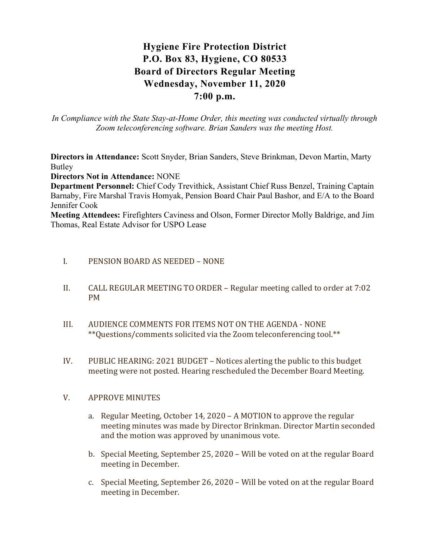# Hygiene Fire Protection District P.O. Box 83, Hygiene, CO 80533 Board of Directors Regular Meeting Wednesday, November 11, 2020 7:00 p.m.

In Compliance with the State Stay-at-Home Order, this meeting was conducted virtually through Zoom teleconferencing software. Brian Sanders was the meeting Host.

Directors in Attendance: Scott Snyder, Brian Sanders, Steve Brinkman, Devon Martin, Marty Butley

Directors Not in Attendance: NONE

Department Personnel: Chief Cody Trevithick, Assistant Chief Russ Benzel, Training Captain Barnaby, Fire Marshal Travis Homyak, Pension Board Chair Paul Bashor, and E/A to the Board Jennifer Cook

Meeting Attendees: Firefighters Caviness and Olson, Former Director Molly Baldrige, and Jim Thomas, Real Estate Advisor for USPO Lease

### I. PENSION BOARD AS NEEDED – NONE

- II. CALL REGULAR MEETING TO ORDER Regular meeting called to order at 7:02 PM
- III. AUDIENCE COMMENTS FOR ITEMS NOT ON THE AGENDA NONE \*\*Questions/comments solicited via the Zoom teleconferencing tool.\*\*
- IV. PUBLIC HEARING: 2021 BUDGET Notices alerting the public to this budget meeting were not posted. Hearing rescheduled the December Board Meeting.

### V. APPROVE MINUTES

- a. Regular Meeting, October 14, 2020 A MOTION to approve the regular meeting minutes was made by Director Brinkman. Director Martin seconded and the motion was approved by unanimous vote.
- b. Special Meeting, September 25, 2020 Will be voted on at the regular Board meeting in December.
- c. Special Meeting, September 26, 2020 Will be voted on at the regular Board meeting in December.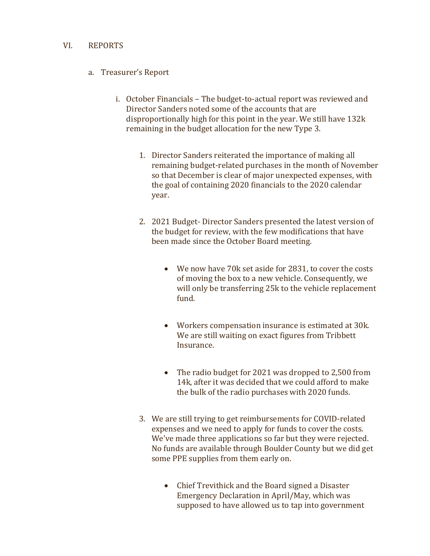### VI. REPORTS

- a. Treasurer's Report
	- i. October Financials The budget-to-actual report was reviewed and Director Sanders noted some of the accounts that are disproportionally high for this point in the year. We still have 132k remaining in the budget allocation for the new Type 3.
		- 1. Director Sanders reiterated the importance of making all remaining budget-related purchases in the month of November so that December is clear of major unexpected expenses, with the goal of containing 2020 financials to the 2020 calendar year.
		- 2. 2021 Budget- Director Sanders presented the latest version of the budget for review, with the few modifications that have been made since the October Board meeting.
			- We now have 70k set aside for 2831, to cover the costs of moving the box to a new vehicle. Consequently, we will only be transferring 25k to the vehicle replacement fund.
			- Workers compensation insurance is estimated at 30k. We are still waiting on exact figures from Tribbett Insurance.
			- The radio budget for 2021 was dropped to 2,500 from 14k, after it was decided that we could afford to make the bulk of the radio purchases with 2020 funds.
		- 3. We are still trying to get reimbursements for COVID-related expenses and we need to apply for funds to cover the costs. We've made three applications so far but they were rejected. No funds are available through Boulder County but we did get some PPE supplies from them early on.
			- Chief Trevithick and the Board signed a Disaster Emergency Declaration in April/May, which was supposed to have allowed us to tap into government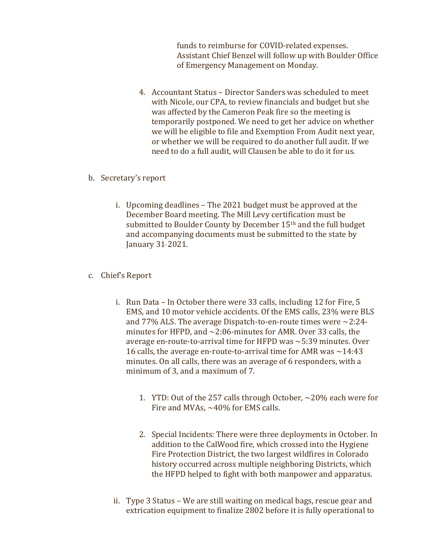funds to reimburse for COVID-related expenses. Assistant Chief Benzel will follow up with Boulder Office of Emergency Management on Monday.

4. Accountant Status – Director Sanders was scheduled to meet with Nicole, our CPA, to review financials and budget but she was affected by the Cameron Peak fire so the meeting is temporarily postponed. We need to get her advice on whether we will be eligible to file and Exemption From Audit next year, or whether we will be required to do another full audit. If we need to do a full audit, will Clausen be able to do it for us.

### b. Secretary's report

i. Upcoming deadlines – The 2021 budget must be approved at the December Board meeting. The Mill Levy certification must be submitted to Boulder County by December 15th and the full budget and accompanying documents must be submitted to the state by January 31, 2021.

## c. Chief's Report

- i. Run Data In October there were 33 calls, including 12 for Fire, 5 EMS, and 10 motor vehicle accidents. Of the EMS calls, 23% were BLS and 77% ALS. The average Dispatch-to-en-route times were  $\sim$ 2:24minutes for HFPD, and ~2:06-minutes for AMR. Over 33 calls, the average en-route-to-arrival time for HFPD was ~5:39 minutes. Over 16 calls, the average en-route-to-arrival time for AMR was  $\sim$  14:43 minutes. On all calls, there was an average of 6 responders, with a minimum of 3, and a maximum of 7.
	- 1. YTD: Out of the 257 calls through October, ~20% each were for Fire and MVAs,  $\sim$ 40% for EMS calls.
	- 2. Special Incidents: There were three deployments in October. In addition to the CalWood fire, which crossed into the Hygiene Fire Protection District, the two largest wildfires in Colorado history occurred across multiple neighboring Districts, which the HFPD helped to fight with both manpower and apparatus.
- ii. Type 3 Status We are still waiting on medical bags, rescue gear and extrication equipment to finalize 2802 before it is fully operational to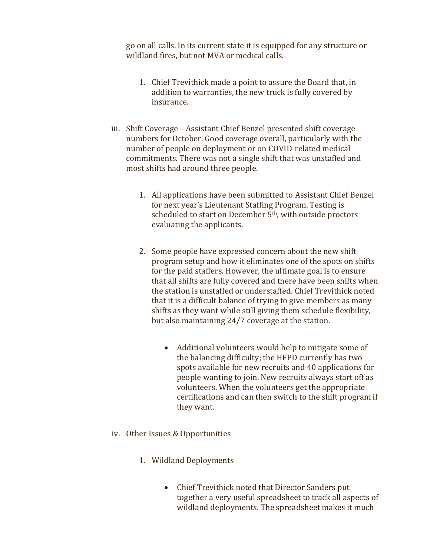go on all calls. In its current state it is equipped for any structure or wildland fires, but not MVA or medical calls.

- 1. Chief Trevithick made a point to assure the Board that, in addition to warranties, the new truck is fully covered by insurance.
- iii. Shift Coverage Assistant Chief Benzel presented shift coverage numbers for October. Good coverage overall, particularly with the number of people on deployment or on COVID-related medical commitments. There was not a single shift that was unstaffed and most shifts had around three people.
	- 1. All applications have been submitted to Assistant Chief Benzel for next year's Lieutenant Staffing Program. Testing is scheduled to start on December 5<sup>th</sup>, with outside proctors evaluating the applicants.
	- 2. Some people have expressed concern about the new shift program setup and how it eliminates one of the spots on shifts for the paid staffers. However, the ultimate goal is to ensure that all shifts are fully covered and there have been shifts when the station is unstaffed or understaffed. Chief Trevithick noted that it is a difficult balance of trying to give members as many shifts as they want while still giving them schedule flexibility, but also maintaining 24/7 coverage at the station.
		- Additional volunteers would help to mitigate some of the balancing difficulty; the HFPD currently has two spots available for new recruits and 40 applications for people wanting to join. New recruits always start off as volunteers. When the volunteers get the appropriate certifications and can then switch to the shift program if they want.
- iv. Other Issues & Opportunities
	- 1. Wildland Deployments
		- Chief Trevithick noted that Director Sanders put together a very useful spreadsheet to track all aspects of wildland deployments. The spreadsheet makes it much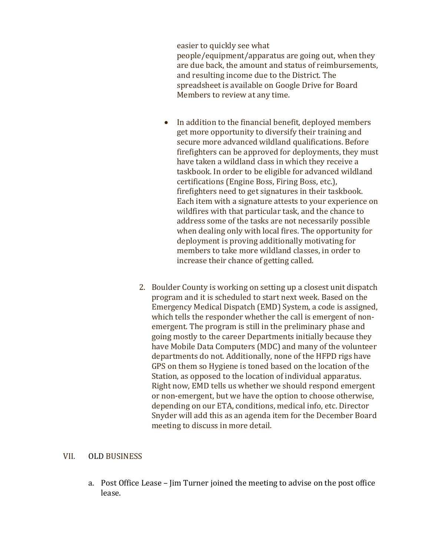easier to quickly see what people/equipment/apparatus are going out, when they are due back, the amount and status of reimbursements, and resulting income due to the District. The spreadsheet is available on Google Drive for Board Members to review at any time.

- In addition to the financial benefit, deployed members get more opportunity to diversify their training and secure more advanced wildland qualifications. Before firefighters can be approved for deployments, they must have taken a wildland class in which they receive a taskbook. In order to be eligible for advanced wildland certifications (Engine Boss, Firing Boss, etc.), firefighters need to get signatures in their taskbook. Each item with a signature attests to your experience on wildfires with that particular task, and the chance to address some of the tasks are not necessarily possible when dealing only with local fires. The opportunity for deployment is proving additionally motivating for members to take more wildland classes, in order to increase their chance of getting called.
- 2. Boulder County is working on setting up a closest unit dispatch program and it is scheduled to start next week. Based on the Emergency Medical Dispatch (EMD) System, a code is assigned, which tells the responder whether the call is emergent of nonemergent. The program is still in the preliminary phase and going mostly to the career Departments initially because they have Mobile Data Computers (MDC) and many of the volunteer departments do not. Additionally, none of the HFPD rigs have GPS on them so Hygiene is toned based on the location of the Station, as opposed to the location of individual apparatus. Right now, EMD tells us whether we should respond emergent or non-emergent, but we have the option to choose otherwise, depending on our ETA, conditions, medical info, etc. Director Snyder will add this as an agenda item for the December Board meeting to discuss in more detail.

### VII. OLD BUSINESS

a. Post Office Lease – Jim Turner joined the meeting to advise on the post office lease.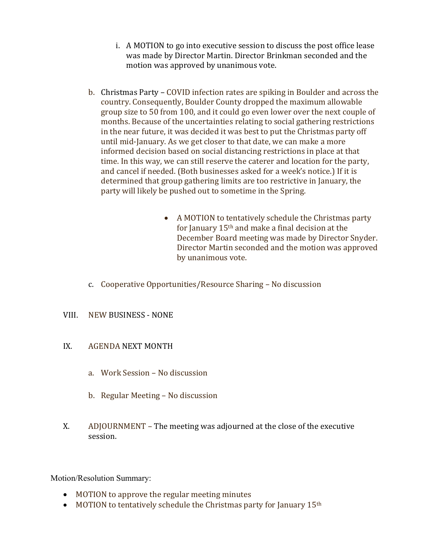- i. A MOTION to go into executive session to discuss the post office lease was made by Director Martin. Director Brinkman seconded and the motion was approved by unanimous vote.
- b. Christmas Party COVID infection rates are spiking in Boulder and across the country. Consequently, Boulder County dropped the maximum allowable group size to 50 from 100, and it could go even lower over the next couple of months. Because of the uncertainties relating to social gathering restrictions in the near future, it was decided it was best to put the Christmas party off until mid-January. As we get closer to that date, we can make a more informed decision based on social distancing restrictions in place at that time. In this way, we can still reserve the caterer and location for the party, and cancel if needed. (Both businesses asked for a week's notice.) If it is determined that group gathering limits are too restrictive in January, the party will likely be pushed out to sometime in the Spring.
	- A MOTION to tentatively schedule the Christmas party for January 15th and make a final decision at the December Board meeting was made by Director Snyder. Director Martin seconded and the motion was approved by unanimous vote.
- c. Cooperative Opportunities/Resource Sharing No discussion
- VIII. NEW BUSINESS NONE
- IX. AGENDA NEXT MONTH
	- a. Work Session No discussion
	- b. Regular Meeting No discussion
- X. ADJOURNMENT The meeting was adjourned at the close of the executive session.

Motion/Resolution Summary:

- MOTION to approve the regular meeting minutes
- $\bullet$  MOTION to tentatively schedule the Christmas party for January 15<sup>th</sup>